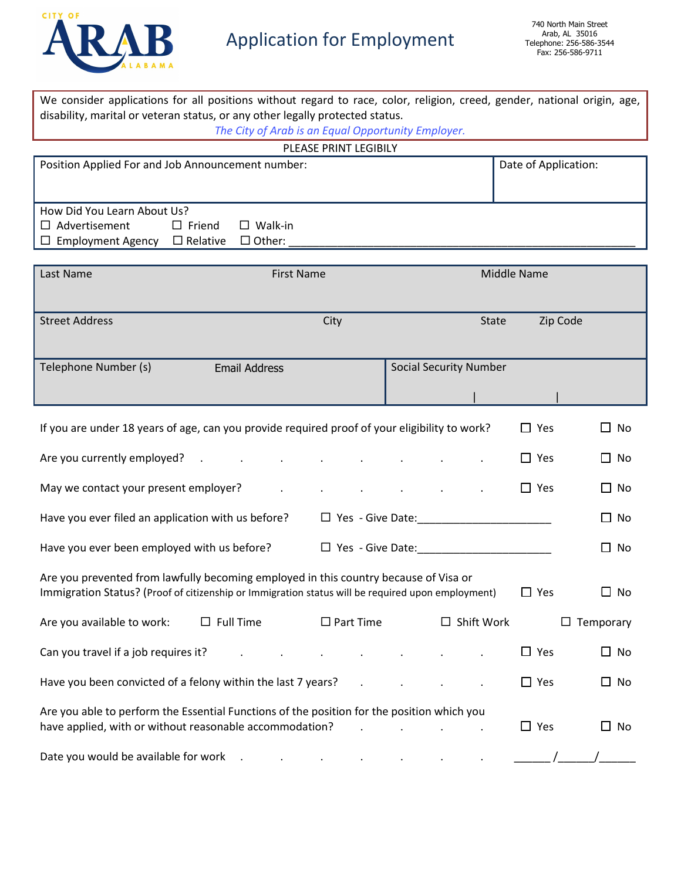

We consider applications for all positions without regard to race, color, religion, creed, gender, national origin, age,

disability, marital or veteran status, or any other legally protected status.

| The City of Arab is an Equal Opportunity Employer.                                                                                                                                        |                      |                         |  |                                         |                                   |                      |             |                  |
|-------------------------------------------------------------------------------------------------------------------------------------------------------------------------------------------|----------------------|-------------------------|--|-----------------------------------------|-----------------------------------|----------------------|-------------|------------------|
| PLEASE PRINT LEGIBILY                                                                                                                                                                     |                      |                         |  |                                         |                                   |                      |             |                  |
| Position Applied For and Job Announcement number:                                                                                                                                         |                      |                         |  |                                         |                                   | Date of Application: |             |                  |
|                                                                                                                                                                                           |                      |                         |  |                                         |                                   |                      |             |                  |
| How Did You Learn About Us?                                                                                                                                                               |                      |                         |  |                                         |                                   |                      |             |                  |
| $\Box$ Advertisement<br>$\Box$ Friend                                                                                                                                                     | $\Box$ Walk-in       |                         |  |                                         |                                   |                      |             |                  |
| $\Box$ Employment Agency $\Box$ Relative $\Box$ Other:                                                                                                                                    |                      |                         |  |                                         |                                   |                      |             |                  |
| Last Name                                                                                                                                                                                 | <b>First Name</b>    |                         |  |                                         |                                   |                      | Middle Name |                  |
|                                                                                                                                                                                           |                      |                         |  |                                         |                                   |                      |             |                  |
|                                                                                                                                                                                           |                      |                         |  |                                         |                                   |                      |             |                  |
| <b>Street Address</b>                                                                                                                                                                     |                      | City                    |  |                                         |                                   | <b>State</b>         |             | Zip Code         |
|                                                                                                                                                                                           |                      |                         |  |                                         |                                   |                      |             |                  |
| Telephone Number (s)                                                                                                                                                                      | <b>Email Address</b> |                         |  |                                         | <b>Social Security Number</b>     |                      |             |                  |
|                                                                                                                                                                                           |                      |                         |  |                                         |                                   |                      |             |                  |
|                                                                                                                                                                                           |                      |                         |  |                                         |                                   |                      |             |                  |
|                                                                                                                                                                                           |                      |                         |  |                                         |                                   |                      |             |                  |
| If you are under 18 years of age, can you provide required proof of your eligibility to work?                                                                                             |                      |                         |  |                                         |                                   |                      | $\Box$ Yes  | $\Box$ No        |
| Are you currently employed? Are you currently employed?                                                                                                                                   |                      |                         |  |                                         |                                   |                      | $\Box$ Yes  | □ No             |
|                                                                                                                                                                                           |                      |                         |  |                                         | and the control of the control of |                      |             |                  |
| May we contact your present employer?                                                                                                                                                     | $\sim 100$           |                         |  |                                         |                                   |                      | $\Box$ Yes  | ∐ No             |
| Have you ever filed an application with us before?                                                                                                                                        |                      |                         |  |                                         |                                   |                      |             | $\Box$ No        |
|                                                                                                                                                                                           |                      |                         |  |                                         |                                   |                      |             | $\Box$ No        |
|                                                                                                                                                                                           |                      |                         |  |                                         |                                   |                      |             |                  |
| Are you prevented from lawfully becoming employed in this country because of Visa or<br>Immigration Status? (Proof of citizenship or Immigration status will be required upon employment) |                      |                         |  |                                         |                                   |                      | $\Box$ Yes  | $\Box$ No        |
|                                                                                                                                                                                           |                      |                         |  |                                         |                                   |                      |             |                  |
| Are you available to work: $\square$ Full Time $\square$ Part Time $\square$ Shift Work                                                                                                   |                      |                         |  |                                         |                                   |                      |             | $\Box$ Temporary |
| Can you travel if a job requires it?                                                                                                                                                      |                      | $\sim$                  |  |                                         |                                   |                      | $\Box$ Yes  | $\Box$ No        |
| Have you been convicted of a felony within the last 7 years?                                                                                                                              |                      | $\sim 100$ km s $^{-1}$ |  |                                         |                                   |                      | $\Box$ Yes  | $\Box$ No        |
| Are you able to perform the Essential Functions of the position for the position which you                                                                                                |                      |                         |  |                                         |                                   |                      |             |                  |
| have applied, with or without reasonable accommodation?                                                                                                                                   |                      |                         |  | and the contract of the contract of the |                                   |                      | $\Box$ Yes  | $\Box$ No        |
| Date you would be available for work . The summary set of the set of the set of the set of the set of the set o                                                                           |                      |                         |  |                                         |                                   |                      |             |                  |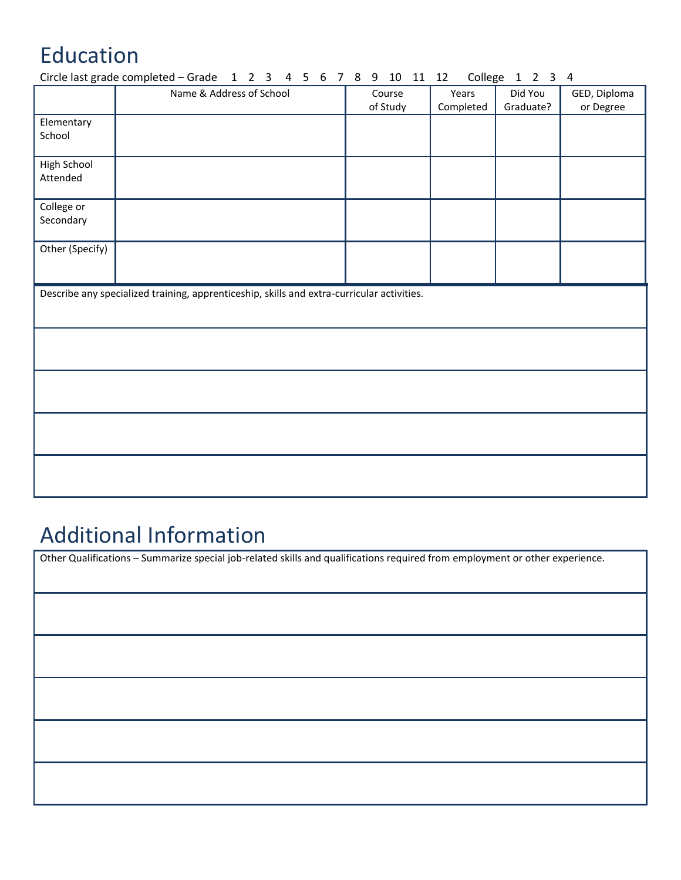# Education

|                         | Circle last grade completed – Grade $1 \ 2 \ 3 \ 4 \ 5 \ 6 \ 7 \ 8 \ 9 \ 10 \ 11 \ 12$     |  |          |           | College 1 2 3 4 |              |
|-------------------------|--------------------------------------------------------------------------------------------|--|----------|-----------|-----------------|--------------|
|                         | Name & Address of School                                                                   |  | Course   | Years     | Did You         | GED, Diploma |
|                         |                                                                                            |  | of Study | Completed | Graduate?       | or Degree    |
| Elementary              |                                                                                            |  |          |           |                 |              |
| School                  |                                                                                            |  |          |           |                 |              |
|                         |                                                                                            |  |          |           |                 |              |
| High School<br>Attended |                                                                                            |  |          |           |                 |              |
|                         |                                                                                            |  |          |           |                 |              |
| College or              |                                                                                            |  |          |           |                 |              |
| Secondary               |                                                                                            |  |          |           |                 |              |
|                         |                                                                                            |  |          |           |                 |              |
| Other (Specify)         |                                                                                            |  |          |           |                 |              |
|                         |                                                                                            |  |          |           |                 |              |
|                         | Describe any specialized training, apprenticeship, skills and extra-curricular activities. |  |          |           |                 |              |
|                         |                                                                                            |  |          |           |                 |              |
|                         |                                                                                            |  |          |           |                 |              |
|                         |                                                                                            |  |          |           |                 |              |
|                         |                                                                                            |  |          |           |                 |              |
|                         |                                                                                            |  |          |           |                 |              |
|                         |                                                                                            |  |          |           |                 |              |
|                         |                                                                                            |  |          |           |                 |              |
|                         |                                                                                            |  |          |           |                 |              |
|                         |                                                                                            |  |          |           |                 |              |
|                         |                                                                                            |  |          |           |                 |              |
|                         |                                                                                            |  |          |           |                 |              |
|                         |                                                                                            |  |          |           |                 |              |

# Additional Information

Other Qualifications – Summarize special job-related skills and qualifications required from employment or other experience.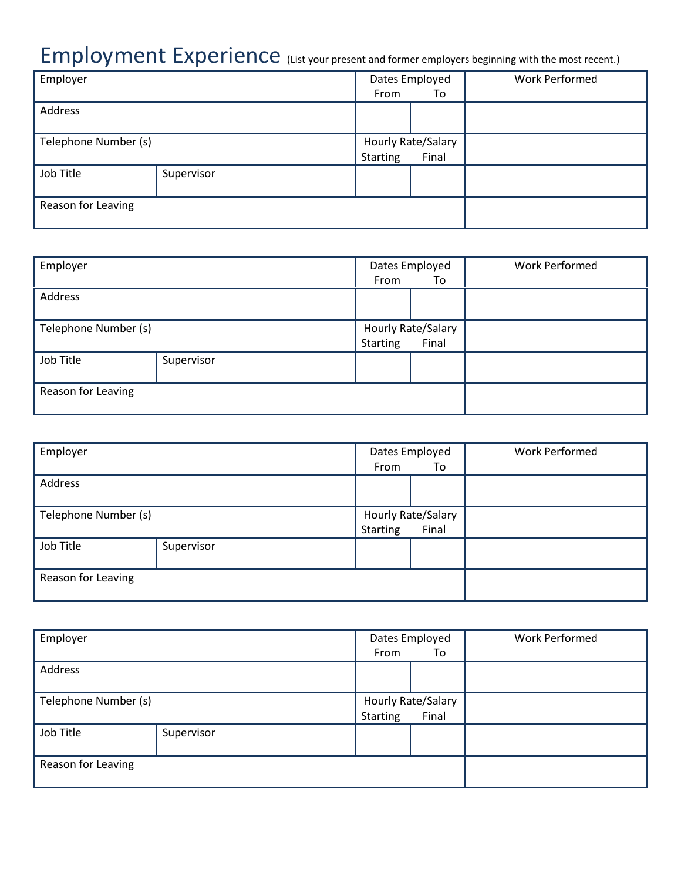# Employment Experience (List your present and former employers beginning with the most recent.)

| Employer             |            | Dates Employed     |       | <b>Work Performed</b> |
|----------------------|------------|--------------------|-------|-----------------------|
|                      |            | From               | To    |                       |
| Address              |            |                    |       |                       |
|                      |            |                    |       |                       |
| Telephone Number (s) |            | Hourly Rate/Salary |       |                       |
|                      |            | Starting           | Final |                       |
| Job Title            | Supervisor |                    |       |                       |
|                      |            |                    |       |                       |
| Reason for Leaving   |            |                    |       |                       |
|                      |            |                    |       |                       |

| Employer             |            | Dates Employed     |       | <b>Work Performed</b> |
|----------------------|------------|--------------------|-------|-----------------------|
|                      |            | From               | To    |                       |
| Address              |            |                    |       |                       |
| Telephone Number (s) |            | Hourly Rate/Salary |       |                       |
|                      |            | <b>Starting</b>    | Final |                       |
| Job Title            | Supervisor |                    |       |                       |
| Reason for Leaving   |            |                    |       |                       |

| Employer             |            | Dates Employed<br>From<br>To            |  | <b>Work Performed</b> |
|----------------------|------------|-----------------------------------------|--|-----------------------|
| Address              |            |                                         |  |                       |
| Telephone Number (s) |            | Hourly Rate/Salary<br>Starting<br>Final |  |                       |
| Job Title            | Supervisor |                                         |  |                       |
| Reason for Leaving   |            |                                         |  |                       |

| Employer             |            | Dates Employed     |       | <b>Work Performed</b> |
|----------------------|------------|--------------------|-------|-----------------------|
|                      |            | From               | To    |                       |
| Address              |            |                    |       |                       |
|                      |            |                    |       |                       |
| Telephone Number (s) |            | Hourly Rate/Salary |       |                       |
|                      |            | <b>Starting</b>    | Final |                       |
| Job Title            | Supervisor |                    |       |                       |
|                      |            |                    |       |                       |
| Reason for Leaving   |            |                    |       |                       |
|                      |            |                    |       |                       |